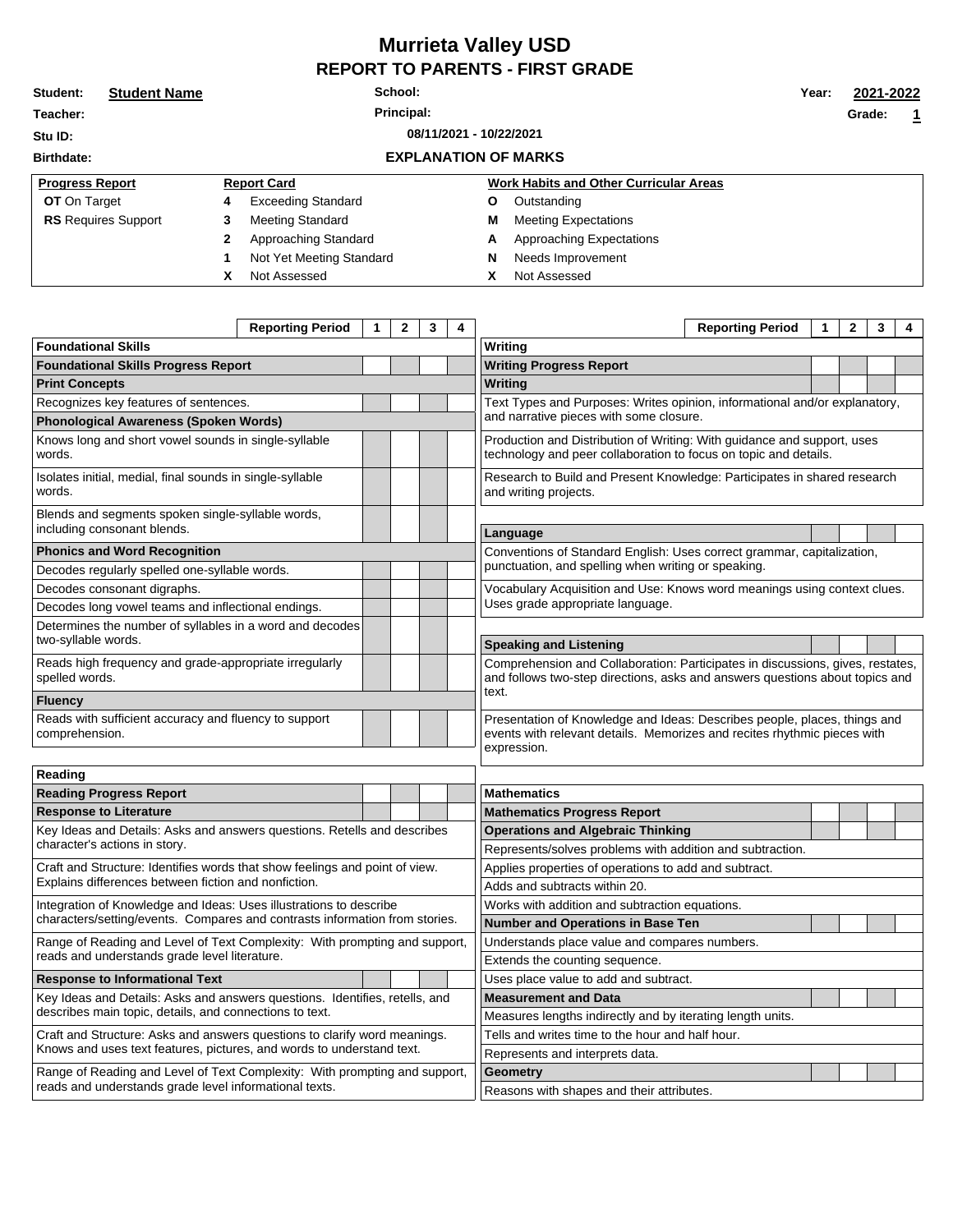## **Murrieta Valley USD REPORT TO PARENTS - FIRST GRADE**

| Student:                           | <b>Student Name</b> | School:    |                             |   |                                               |  |  | 2021-2022 |  |  |
|------------------------------------|---------------------|------------|-----------------------------|---|-----------------------------------------------|--|--|-----------|--|--|
| Teacher:                           |                     | Principal: |                             |   |                                               |  |  | 1         |  |  |
| 08/11/2021 - 10/22/2021<br>Stu ID: |                     |            |                             |   |                                               |  |  |           |  |  |
| <b>Birthdate:</b>                  |                     |            | <b>EXPLANATION OF MARKS</b> |   |                                               |  |  |           |  |  |
| <b>Progress Report</b>             |                     |            | <b>Report Card</b>          |   | <b>Work Habits and Other Curricular Areas</b> |  |  |           |  |  |
| <b>OT</b> On Target                |                     | 4          | <b>Exceeding Standard</b>   | Ο | Outstanding                                   |  |  |           |  |  |
| <b>RS</b> Requires Support         |                     | 3          | Meeting Standard            | M | <b>Meeting Expectations</b>                   |  |  |           |  |  |
|                                    |                     | 2          | Approaching Standard        | А | Approaching Expectations                      |  |  |           |  |  |
|                                    |                     |            | Not Yet Meeting Standard    | N | Needs Improvement                             |  |  |           |  |  |
|                                    |                     | х          | Not Assessed                | х | Not Assessed                                  |  |  |           |  |  |

|                                                                                                           | <b>Reporting Period</b> | $\mathbf{1}$ | $\mathbf{2}$ | 3                                                                      | 4                                                                          |                                                                                                                                                                      | <b>Reporting Period</b> | 1 | $\mathbf{2}$ | 3 | 4 |  |
|-----------------------------------------------------------------------------------------------------------|-------------------------|--------------|--------------|------------------------------------------------------------------------|----------------------------------------------------------------------------|----------------------------------------------------------------------------------------------------------------------------------------------------------------------|-------------------------|---|--------------|---|---|--|
| <b>Foundational Skills</b>                                                                                |                         |              |              |                                                                        | Writing                                                                    |                                                                                                                                                                      |                         |   |              |   |   |  |
| <b>Foundational Skills Progress Report</b>                                                                |                         |              |              | <b>Writing Progress Report</b>                                         |                                                                            |                                                                                                                                                                      |                         |   |              |   |   |  |
| <b>Print Concepts</b>                                                                                     |                         |              |              |                                                                        |                                                                            | Writing                                                                                                                                                              |                         |   |              |   |   |  |
| Recognizes key features of sentences.                                                                     |                         |              |              |                                                                        | Text Types and Purposes: Writes opinion, informational and/or explanatory, |                                                                                                                                                                      |                         |   |              |   |   |  |
| <b>Phonological Awareness (Spoken Words)</b>                                                              |                         |              |              |                                                                        | and narrative pieces with some closure.                                    |                                                                                                                                                                      |                         |   |              |   |   |  |
| Knows long and short vowel sounds in single-syllable<br>words.                                            |                         |              |              |                                                                        |                                                                            | Production and Distribution of Writing: With guidance and support, uses<br>technology and peer collaboration to focus on topic and details.                          |                         |   |              |   |   |  |
| Isolates initial, medial, final sounds in single-syllable<br>words.                                       |                         |              |              |                                                                        |                                                                            | Research to Build and Present Knowledge: Participates in shared research<br>and writing projects.                                                                    |                         |   |              |   |   |  |
| Blends and segments spoken single-syllable words,                                                         |                         |              |              |                                                                        |                                                                            |                                                                                                                                                                      |                         |   |              |   |   |  |
| including consonant blends.                                                                               |                         |              |              |                                                                        |                                                                            | Language                                                                                                                                                             |                         |   |              |   |   |  |
| <b>Phonics and Word Recognition</b>                                                                       |                         |              |              | Conventions of Standard English: Uses correct grammar, capitalization, |                                                                            |                                                                                                                                                                      |                         |   |              |   |   |  |
| Decodes regularly spelled one-syllable words.                                                             |                         |              |              |                                                                        |                                                                            | punctuation, and spelling when writing or speaking.                                                                                                                  |                         |   |              |   |   |  |
| Decodes consonant digraphs.                                                                               |                         |              |              |                                                                        |                                                                            | Vocabulary Acquisition and Use: Knows word meanings using context clues.                                                                                             |                         |   |              |   |   |  |
| Decodes long vowel teams and inflectional endings.                                                        |                         |              |              |                                                                        |                                                                            | Uses grade appropriate language.                                                                                                                                     |                         |   |              |   |   |  |
| Determines the number of syllables in a word and decodes<br>two-syllable words.                           |                         |              |              |                                                                        |                                                                            | <b>Speaking and Listening</b>                                                                                                                                        |                         |   |              |   |   |  |
| Reads high frequency and grade-appropriate irregularly<br>spelled words.                                  |                         |              |              |                                                                        |                                                                            | Comprehension and Collaboration: Participates in discussions, gives, restates,<br>and follows two-step directions, asks and answers questions about topics and       |                         |   |              |   |   |  |
| <b>Fluency</b>                                                                                            |                         |              |              |                                                                        |                                                                            | text.                                                                                                                                                                |                         |   |              |   |   |  |
| Reads with sufficient accuracy and fluency to support<br>comprehension.                                   |                         |              |              |                                                                        |                                                                            | Presentation of Knowledge and Ideas: Describes people, places, things and<br>events with relevant details. Memorizes and recites rhythmic pieces with<br>expression. |                         |   |              |   |   |  |
| Reading                                                                                                   |                         |              |              |                                                                        |                                                                            |                                                                                                                                                                      |                         |   |              |   |   |  |
| <b>Reading Progress Report</b>                                                                            |                         |              |              |                                                                        |                                                                            | <b>Mathematics</b>                                                                                                                                                   |                         |   |              |   |   |  |
| <b>Response to Literature</b>                                                                             |                         |              |              |                                                                        |                                                                            | <b>Mathematics Progress Report</b>                                                                                                                                   |                         |   |              |   |   |  |
| Key Ideas and Details: Asks and answers questions. Retells and describes<br>character's actions in story. |                         |              |              |                                                                        |                                                                            | <b>Operations and Algebraic Thinking</b>                                                                                                                             |                         |   |              |   |   |  |
|                                                                                                           |                         |              |              | Represents/solves problems with addition and subtraction.              |                                                                            |                                                                                                                                                                      |                         |   |              |   |   |  |
| Craft and Structure: Identifies words that show feelings and point of view.                               |                         |              |              | Applies properties of operations to add and subtract.                  |                                                                            |                                                                                                                                                                      |                         |   |              |   |   |  |
| Euskalainen alittamanen saarin kautunna tietinen muodon muotintainen                                      |                         |              |              |                                                                        |                                                                            |                                                                                                                                                                      |                         |   |              |   |   |  |

| Craft and Structure: Identifies words that show feelings and point of view. | Applies properties of operations to add and subtract.      |                                                  |  |  |  |  |  |  |
|-----------------------------------------------------------------------------|------------------------------------------------------------|--------------------------------------------------|--|--|--|--|--|--|
| Explains differences between fiction and nonfiction.                        |                                                            | Adds and subtracts within 20.                    |  |  |  |  |  |  |
| Integration of Knowledge and Ideas: Uses illustrations to describe          |                                                            | Works with addition and subtraction equations.   |  |  |  |  |  |  |
| characters/setting/events. Compares and contrasts information from stories. |                                                            | <b>Number and Operations in Base Ten</b>         |  |  |  |  |  |  |
| Range of Reading and Level of Text Complexity: With prompting and support,  |                                                            | Understands place value and compares numbers.    |  |  |  |  |  |  |
| reads and understands grade level literature.                               |                                                            | Extends the counting sequence.                   |  |  |  |  |  |  |
| <b>Response to Informational Text</b>                                       |                                                            | Uses place value to add and subtract.            |  |  |  |  |  |  |
| Key Ideas and Details: Asks and answers questions. Identifies, retells, and |                                                            | <b>Measurement and Data</b>                      |  |  |  |  |  |  |
| describes main topic, details, and connections to text.                     | Measures lengths indirectly and by iterating length units. |                                                  |  |  |  |  |  |  |
| Craft and Structure: Asks and answers questions to clarify word meanings.   |                                                            | Fells and writes time to the hour and half hour. |  |  |  |  |  |  |
| Knows and uses text features, pictures, and words to understand text.       |                                                            | Represents and interprets data.                  |  |  |  |  |  |  |
| Range of Reading and Level of Text Complexity: With prompting and support,  | <b>Geometry</b>                                            |                                                  |  |  |  |  |  |  |
| reads and understands grade level informational texts.                      | Reasons with shapes and their attributes.                  |                                                  |  |  |  |  |  |  |
|                                                                             |                                                            |                                                  |  |  |  |  |  |  |